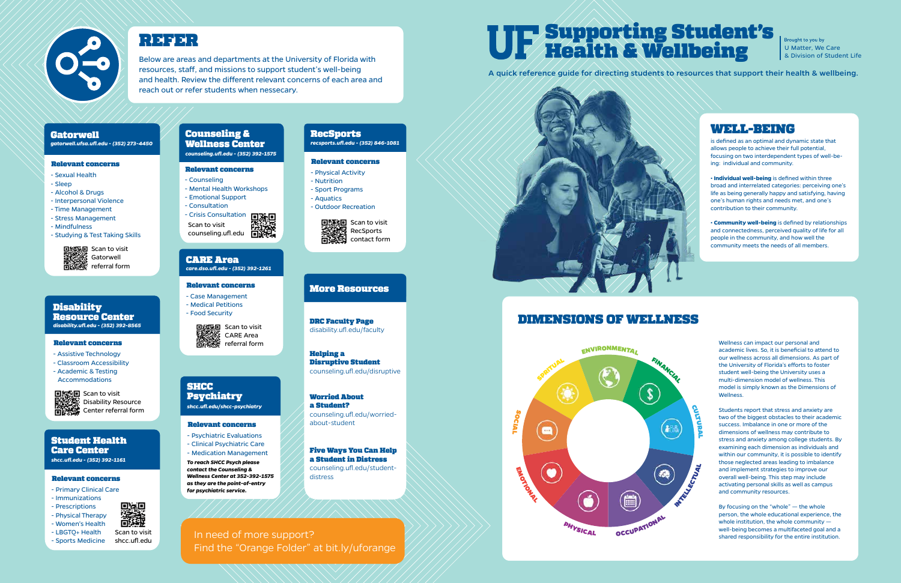Brought to you by U Matter, We Care & Division of Student Life

# Supporting Student's Health & Wellbeing

A quick reference guide for directing students to resources that support their health & wellbeing.



# WELL-BEING

is defined as an optimal and dynamic state that allows people to achieve their full potential, focusing on two interdependent types of well-being: individual and community.

• **Individual well-being** is defined within three broad and interrelated categories: perceiving one's life as being generally happy and satisfying, having one's human rights and needs met, and one's contribution to their community.

• **Community well-being** is defined by relationships and connectedness, perceived quality of life for all people in the community, and how well the community meets the needs of all members.



# DIMENSIONS OF WELLNESS

Wellness can impact our personal and academic lives. So, it is beneficial to attend to our wellness across all dimensions. As part of the University of Florida's efforts to foster student well-being the University uses a multi-dimension model of wellness. This model is simply known as the Dimensions of Wellness.

■ Scan to visit Gatorwell referral form

> Students report that stress and anxiety are two of the biggest obstacles to their academic success. Imbalance in one or more of the dimensions of wellness may contribute to stress and anxiety among college students. By examining each dimension as individuals and within our community, it is possible to identify those neglected areas leading to imbalance and implement strategies to improve our overall well-being. This step may include activating personal skills as well as campus and community resources.

Sell Scan to visit Disability Resource Center referral form

## **Disability** Resource Center *disability.ufl.edu - (352) 392-8565*

### **SHCC** Psychiatry

By focusing on the "whole" — the whole person, the whole educational experience, the whole institution, the whole community well-being becomes a multifaceted goal and a shared responsibility for the entire institution.



# Relevant concerns

- 
- 
- 

- Counseling - Mental Health Workshops - Emotional Support - Consultation

# Counseling & Wellness Center

*counseling.ufl.edu - (352) 392-1575*

### Relevant concerns

- Primary Clinical Care
- Immunizations
- Prescriptions
- Physical Therapy
- Women's Health - LBGTQ+ Health
- Sports Medicine

# 識



*shcc.ufl.edu - (352) 392-1161*

- Physical Activity
- Nutrition

**RecSports** 

# Relevant concerns *recsports.ufl.edu - (352) 846-1081*

- Sport Programs
- Aquatics
- Outdoor Recreation



### Relevant concerns

- Sexual Health
- Sleep
- Alcohol & Drugs
- Interpersonal Violence
- Time Management
- Stress Management
- Mindfulness
- Studying & Test Taking Skills

*gatorwell.ufsa.ufl.edu - (352) 273-4450*

### Relevant concerns

- Assistive Technology
- Classroom Accessibility
- Academic & Testing Accommodations



### Relevant concerns

- Case Management - Medical Petitions
- Food Security



### CARE Area *care.dso.ufl.edu - (352) 392-1261*



# Relevant concerns

# *shcc.ufl.edu/shcc-psychiatry*

- Psychiatric Evaluations - Clinical Psychiatric Care
- Medication Management
- *To reach SHCC Psych please contact the Counseling & Wellness Center at 352-392-1575 as they are the point-of-entry for psychiatric service.*

Below are areas and departments at the University of Florida with resources, staff, and missions to support student's well-being and health. Review the different relevant concerns of each area and reach out or refer students when nessecary.

# **Gatorwell**





# More Resources

DRC Faculty Page

disability.ufl.edu/faculty

Helping a

Disruptive Student counseling.ufl.edu/disruptive

Worried About a Student?

counseling.ufl.edu/worried-

about-student

Five Ways You Can Help a Student in Distress counseling.ufl.edu/studentdistress

# In need of more support? Find the "Orange Folder" at bit.ly/uforange

Scan to visit shcc.ufl.edu

回流回